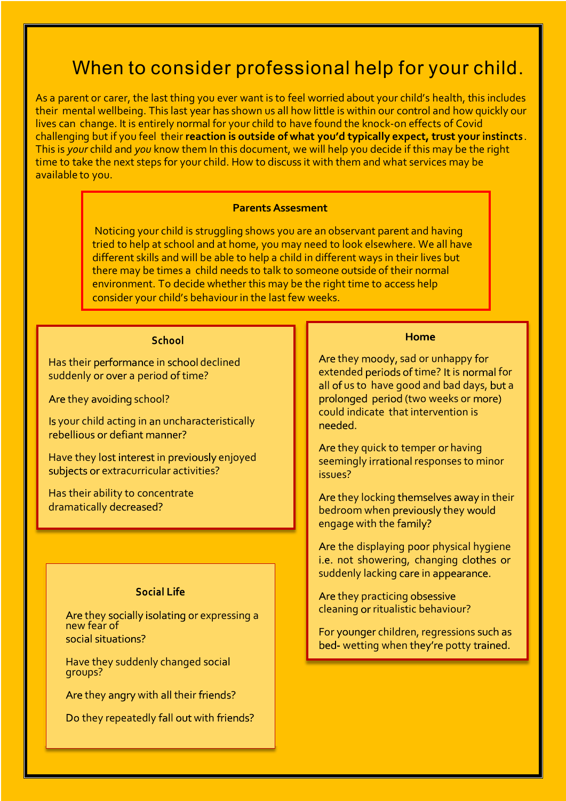# When to consider professional help for your child.

As a parent or carer, the last thing you ever want is to feel worried about your child's health, this includes their mental wellbeing. This last year has shown us all how little is within our control and how quickly our lives can change. It is entirely normal for your child to have found the knock-on effects of Covid challenging but if you feel their **reaction is outside of what you'd typically expect, trust your instincts** . This is *your* child and *you* know them In this document, we will help you decide if this may be the right time to take the next steps for your child. How to discuss it with them and what services may be available to you.

### **Parents Assesment**

Noticing your child is struggling shows you are an observant parent and having tried to help at school and at home, you may need to look elsewhere. We all have different skills and will be able to help a child in different ways in their lives but there may be times a child needs to talk to someone outside of their normal environment. To decide whether this may be the right time to access help consider your child's behaviour in the last few weeks.

## School

Has their performance in school declined suddenly or over a period of time?

Are they avoiding school?

Is your child acting in an uncharacteristically rebellious or defiant manner?

Have they lost interest in previously enjoyed subjects or extracurricular activities?

Has their ability to concentrate dramatically decreased?

## **Social Life**

Are they socially isolating or expressing a new fear of social situations?

Have they suddenly changed social groups?

Are they angry with all their friends?

Do they repeatedly fall out with friends?

#### **Home**

Are they moody, sad or unhappy for extended periods of time? It is normal for all of us to have good and bad days, but a prolonged period (two weeks or more) could indicate that intervention is hebeen

Are they quick to temper or having seemingly irrational responses to minor issues?

Are they locking themselves away in their bedroom when previously they would engage with the family?

Are the displaying poor physical hygiene i.e. not showering, changing clothes or suddenly lacking care in appearance.

Are they practicing obsessive cleaning or ritualistic behaviour?

For younger children, regressions such as bed- wetting when they're potty trained.